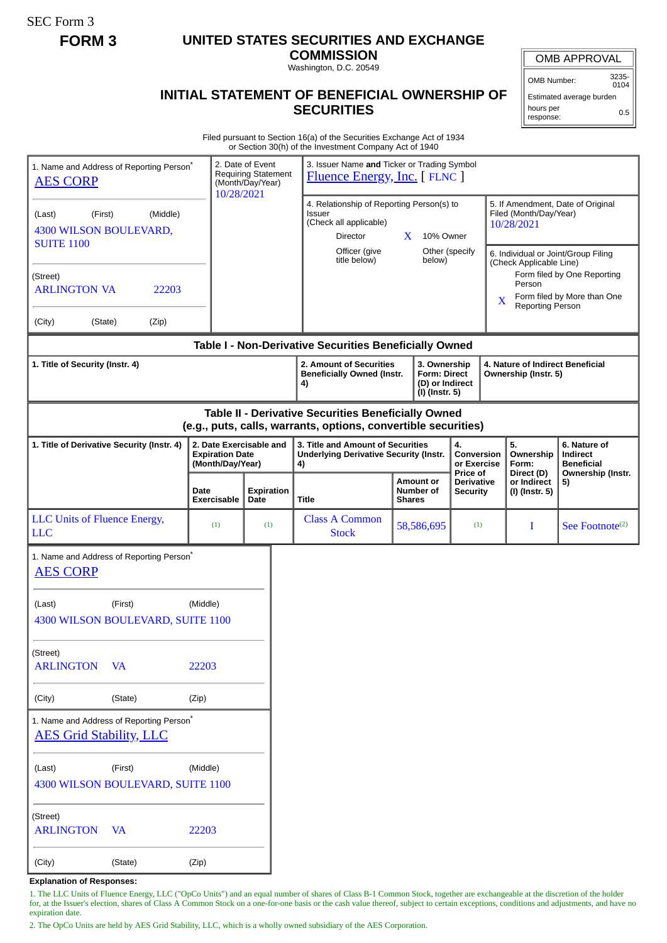SEC Form 3

## **FORM 3 UNITED STATES SECURITIES AND EXCHANGE**

**COMMISSION** Washington, D.C. 20549

## **INITIAL STATEMENT OF BENEFICIAL OWNERSHIP OF SECURITIES**

OMB APPROVAL

OMB Number: 3235- 0104

Estimated average burden hours per response: 0.5

Filed pursuant to Section 16(a) of the Securities Exchange Act of 1934 or Section 30(h) of the Investment Company Act of 1940

| 1. Name and Address of Reporting Person <sup>®</sup><br><b>AES CORP</b>                                               |                                              |                               | 2. Date of Event<br><b>Requiring Statement</b><br>(Month/Day/Year)<br>10/28/2021 |  | 3. Issuer Name and Ticker or Trading Symbol<br><b>Fluence Energy, Inc.</b> [FLNC ]                                            |                                                                          |                                                    |                                                                |                                                                           |                                                                    |                             |
|-----------------------------------------------------------------------------------------------------------------------|----------------------------------------------|-------------------------------|----------------------------------------------------------------------------------|--|-------------------------------------------------------------------------------------------------------------------------------|--------------------------------------------------------------------------|----------------------------------------------------|----------------------------------------------------------------|---------------------------------------------------------------------------|--------------------------------------------------------------------|-----------------------------|
| (Middle)<br>(First)<br>(Last)<br>4300 WILSON BOULEVARD,<br><b>SUITE 1100</b>                                          |                                              |                               |                                                                                  |  | 4. Relationship of Reporting Person(s) to<br><b>Issuer</b><br>(Check all applicable)<br>Director<br>$\mathbf{X}$<br>10% Owner |                                                                          |                                                    |                                                                | 5. If Amendment, Date of Original<br>Filed (Month/Day/Year)<br>10/28/2021 |                                                                    |                             |
|                                                                                                                       |                                              | Officer (give<br>title below) |                                                                                  |  | Other (specify<br>below)                                                                                                      |                                                                          |                                                    | 6. Individual or Joint/Group Filing<br>(Check Applicable Line) |                                                                           |                                                                    |                             |
| (Street)                                                                                                              |                                              |                               |                                                                                  |  |                                                                                                                               |                                                                          |                                                    |                                                                | Person                                                                    | Form filed by One Reporting                                        |                             |
| <b>ARLINGTON VA</b><br>22203                                                                                          |                                              |                               |                                                                                  |  |                                                                                                                               |                                                                          |                                                    |                                                                | X                                                                         | Reporting Person                                                   | Form filed by More than One |
| (City)                                                                                                                | (State)<br>(Zip)                             |                               |                                                                                  |  |                                                                                                                               |                                                                          |                                                    |                                                                |                                                                           |                                                                    |                             |
| Table I - Non-Derivative Securities Beneficially Owned                                                                |                                              |                               |                                                                                  |  |                                                                                                                               |                                                                          |                                                    |                                                                |                                                                           |                                                                    |                             |
| 1. Title of Security (Instr. 4)                                                                                       |                                              |                               |                                                                                  |  | 2. Amount of Securities<br><b>Beneficially Owned (Instr.</b><br>4)                                                            | 3. Ownership<br><b>Form: Direct</b><br>(D) or Indirect<br>(I) (Instr. 5) |                                                    |                                                                |                                                                           | 4. Nature of Indirect Beneficial<br>Ownership (Instr. 5)           |                             |
| Table II - Derivative Securities Beneficially Owned<br>(e.g., puts, calls, warrants, options, convertible securities) |                                              |                               |                                                                                  |  |                                                                                                                               |                                                                          |                                                    |                                                                |                                                                           |                                                                    |                             |
| 1. Title of Derivative Security (Instr. 4)                                                                            |                                              | <b>Expiration Date</b>        | 2. Date Exercisable and<br>(Month/Day/Year)                                      |  | 3. Title and Amount of Securities<br><b>Underlying Derivative Security (Instr.</b><br>4)                                      |                                                                          | 4.<br><b>Conversion</b><br>or Exercise<br>Price of |                                                                | 5.<br>Ownership<br>Form:<br>Direct (D)                                    | 6. Nature of<br>Indirect<br><b>Beneficial</b><br>Ownership (Instr. |                             |
|                                                                                                                       |                                              | Date<br><b>Exercisable</b>    | <b>Expiration</b><br>Date                                                        |  | Title                                                                                                                         | <b>Shares</b>                                                            | <b>Amount or</b><br>Number of                      | <b>Derivative</b><br><b>Security</b>                           |                                                                           | or Indirect<br>(I) (Instr. 5)                                      | 5)                          |
| LLC Units of Fluence Energy,<br><b>LLC</b>                                                                            |                                              | (1)                           | (1)                                                                              |  | <b>Class A Common</b><br><b>Stock</b>                                                                                         | 58,586,695                                                               |                                                    | (1)                                                            |                                                                           | I                                                                  | See Footnote <sup>(2)</sup> |
| 1. Name and Address of Reporting Person <sup>®</sup><br><b>AES CORP</b>                                               |                                              |                               |                                                                                  |  |                                                                                                                               |                                                                          |                                                    |                                                                |                                                                           |                                                                    |                             |
| (Last)                                                                                                                | (First)<br>4300 WILSON BOULEVARD, SUITE 1100 | (Middle)                      |                                                                                  |  |                                                                                                                               |                                                                          |                                                    |                                                                |                                                                           |                                                                    |                             |
| (Street)<br><b>ARLINGTON</b><br>VA                                                                                    |                                              | 22203                         |                                                                                  |  |                                                                                                                               |                                                                          |                                                    |                                                                |                                                                           |                                                                    |                             |
| (City)                                                                                                                | (State)                                      | (Zip)                         |                                                                                  |  |                                                                                                                               |                                                                          |                                                    |                                                                |                                                                           |                                                                    |                             |
| 1. Name and Address of Reporting Person <sup>*</sup><br><b>AES Grid Stability, LLC</b>                                |                                              |                               |                                                                                  |  |                                                                                                                               |                                                                          |                                                    |                                                                |                                                                           |                                                                    |                             |
| (Last)<br>4300 WILSON BOULEVARD, SUITE 1100                                                                           | (Middle)                                     |                               |                                                                                  |  |                                                                                                                               |                                                                          |                                                    |                                                                |                                                                           |                                                                    |                             |
| (Street)<br><b>ARLINGTON</b>                                                                                          | <b>VA</b>                                    | 22203                         |                                                                                  |  |                                                                                                                               |                                                                          |                                                    |                                                                |                                                                           |                                                                    |                             |
| (City)                                                                                                                | (State)                                      | (Zip)                         |                                                                                  |  |                                                                                                                               |                                                                          |                                                    |                                                                |                                                                           |                                                                    |                             |

**Explanation of Responses:**

1. The LLC Units of Fluence Energy, LLC ("OpCo Units") and an equal number of shares of Class B-1 Common Stock, together are exchangeable at the discretion of the holder for, at the Issuer's election, shares of Class A Common Stock on a one-for-one basis or the cash value thereof, subject to certain exceptions, conditions and adjustments, and have no expiration date.

2. The OpCo Units are held by AES Grid Stability, LLC, which is a wholly owned subsidiary of the AES Corporation.